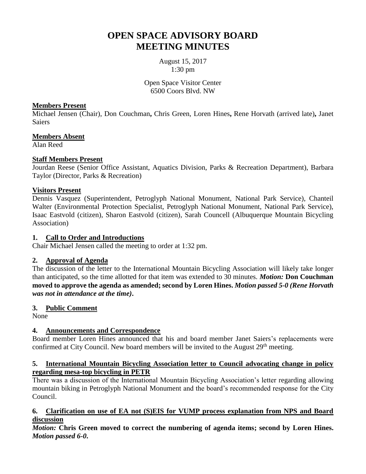# **OPEN SPACE ADVISORY BOARD MEETING MINUTES**

August 15, 2017 1:30 pm

Open Space Visitor Center 6500 Coors Blvd. NW

## **Members Present**

Michael Jensen (Chair), Don Couchman**,** Chris Green, Loren Hines**,** Rene Horvath (arrived late)**,** Janet **Saiers** 

# **Members Absent**

Alan Reed

## **Staff Members Present**

Jourdan Reese (Senior Office Assistant, Aquatics Division, Parks & Recreation Department), Barbara Taylor (Director, Parks & Recreation)

## **Visitors Present**

Dennis Vasquez (Superintendent, Petroglyph National Monument, National Park Service), Chanteil Walter (Environmental Protection Specialist, Petroglyph National Monument, National Park Service), Isaac Eastvold (citizen), Sharon Eastvold (citizen), Sarah Councell (Albuquerque Mountain Bicycling Association)

## **1. Call to Order and Introductions**

Chair Michael Jensen called the meeting to order at 1:32 pm.

## **2. Approval of Agenda**

The discussion of the letter to the International Mountain Bicycling Association will likely take longer than anticipated, so the time allotted for that item was extended to 30 minutes. *Motion:* **Don Couchman moved to approve the agenda as amended; second by Loren Hines.** *Motion passed 5-0 (Rene Horvath was not in attendance at the time)***.**

# **3. Public Comment**

None

# **4. Announcements and Correspondence**

Board member Loren Hines announced that his and board member Janet Saiers's replacements were confirmed at City Council. New board members will be invited to the August 29<sup>th</sup> meeting.

## **5. International Mountain Bicycling Association letter to Council advocating change in policy regarding mesa-top bicycling in PETR**

There was a discussion of the International Mountain Bicycling Association's letter regarding allowing mountain biking in Petroglyph National Monument and the board's recommended response for the City Council.

## **6. Clarification on use of EA not (S)EIS for VUMP process explanation from NPS and Board discussion**

*Motion:* **Chris Green moved to correct the numbering of agenda items; second by Loren Hines.**  *Motion passed 6-0***.**